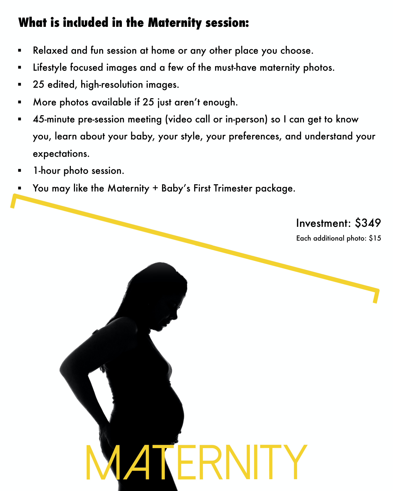## **What is included in the Maternity session:**

- § Relaxed and fun session at home or any other place you choose.
- Lifestyle focused images and a few of the must-have maternity photos.
- § 25 edited, high-resolution images.
- § More photos available if 25 just aren't enough.
- § 45-minute pre-session meeting (video call or in-person) so I can get to know you, learn about your baby, your style, your preferences, and understand your expectations.

 $\mathsf{L}\mathsf{H}$ 

- § 1-hour photo session.
- § You may like the Maternity + Baby's First Trimester package.

Investment: \$349

Each additional photo: \$15